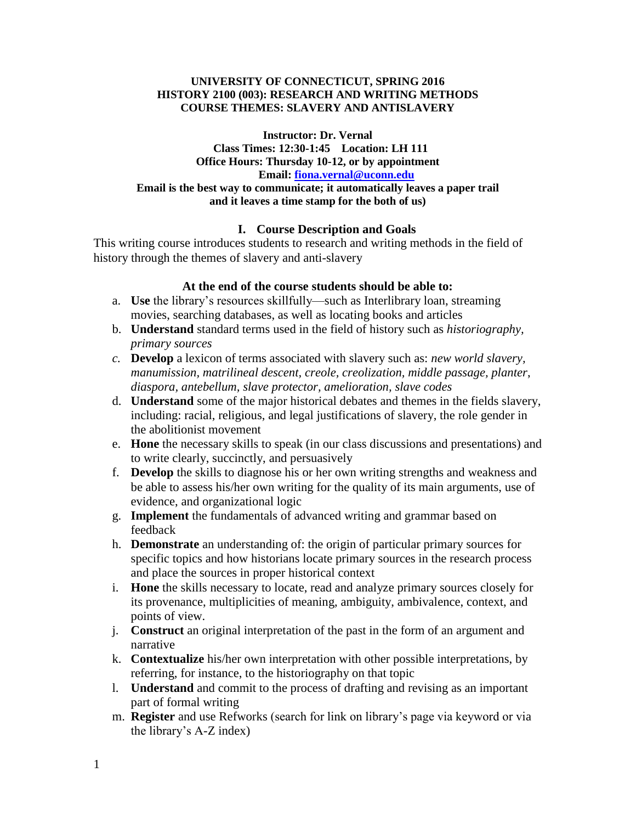#### **UNIVERSITY OF CONNECTICUT, SPRING 2016 HISTORY 2100 (003): RESEARCH AND WRITING METHODS COURSE THEMES: SLAVERY AND ANTISLAVERY**

**Instructor: Dr. Vernal Class Times: 12:30-1:45 Location: LH 111 Office Hours: Thursday 10-12, or by appointment Email: [fiona.vernal@uconn.edu](mailto:fiona.vernal@uconn.edu) Email is the best way to communicate; it automatically leaves a paper trail and it leaves a time stamp for the both of us)**

## **I. Course Description and Goals**

This writing course introduces students to research and writing methods in the field of history through the themes of slavery and anti-slavery

### **At the end of the course students should be able to:**

- a. **Use** the library's resources skillfully—such as Interlibrary loan, streaming movies, searching databases, as well as locating books and articles
- b. **Understand** standard terms used in the field of history such as *historiography, primary sources*
- *c.* **Develop** a lexicon of terms associated with slavery such as: *new world slavery, manumission, matrilineal descent, creole, creolization, middle passage, planter*, *diaspora, antebellum, slave protector, amelioration, slave codes*
- d. **Understand** some of the major historical debates and themes in the fields slavery, including: racial, religious, and legal justifications of slavery, the role gender in the abolitionist movement
- e. **Hone** the necessary skills to speak (in our class discussions and presentations) and to write clearly, succinctly, and persuasively
- f. **Develop** the skills to diagnose his or her own writing strengths and weakness and be able to assess his/her own writing for the quality of its main arguments, use of evidence, and organizational logic
- g. **Implement** the fundamentals of advanced writing and grammar based on feedback
- h. **Demonstrate** an understanding of: the origin of particular primary sources for specific topics and how historians locate primary sources in the research process and place the sources in proper historical context
- i. **Hone** the skills necessary to locate, read and analyze primary sources closely for its provenance, multiplicities of meaning, ambiguity, ambivalence, context, and points of view.
- j. **Construct** an original interpretation of the past in the form of an argument and narrative
- k. **Contextualize** his/her own interpretation with other possible interpretations, by referring, for instance, to the historiography on that topic
- l. **Understand** and commit to the process of drafting and revising as an important part of formal writing
- m. **Register** and use Refworks (search for link on library's page via keyword or via the library's A-Z index)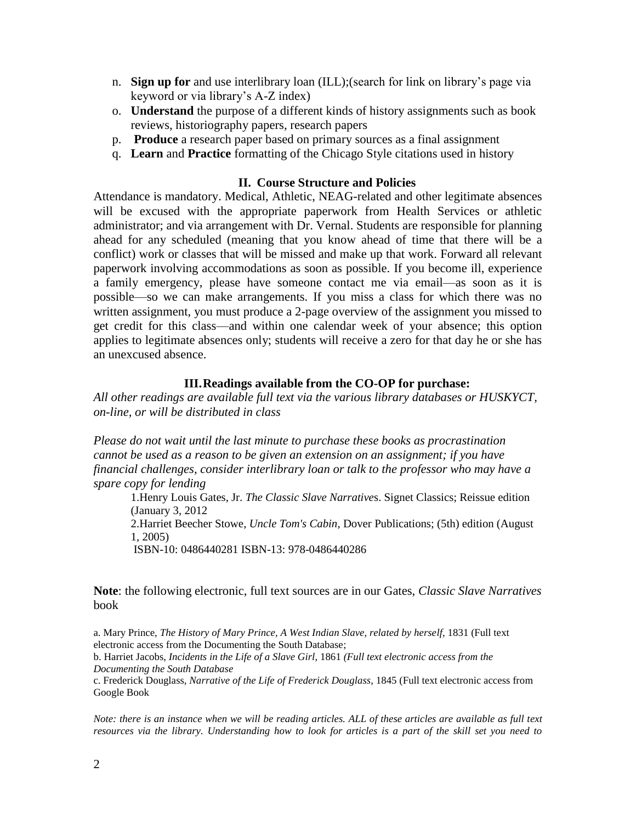- n. **Sign up for** and use interlibrary loan (ILL);(search for link on library's page via keyword or via library's A-Z index)
- o. **Understand** the purpose of a different kinds of history assignments such as book reviews, historiography papers, research papers
- p. **Produce** a research paper based on primary sources as a final assignment
- q. **Learn** and **Practice** formatting of the Chicago Style citations used in history

#### **II. Course Structure and Policies**

Attendance is mandatory. Medical, Athletic, NEAG-related and other legitimate absences will be excused with the appropriate paperwork from Health Services or athletic administrator; and via arrangement with Dr. Vernal. Students are responsible for planning ahead for any scheduled (meaning that you know ahead of time that there will be a conflict) work or classes that will be missed and make up that work. Forward all relevant paperwork involving accommodations as soon as possible. If you become ill, experience a family emergency, please have someone contact me via email—as soon as it is possible—so we can make arrangements. If you miss a class for which there was no written assignment, you must produce a 2-page overview of the assignment you missed to get credit for this class—and within one calendar week of your absence; this option applies to legitimate absences only; students will receive a zero for that day he or she has an unexcused absence.

#### **III.Readings available from the CO-OP for purchase:**

*All other readings are available full text via the various library databases or HUSKYCT, on-line, or will be distributed in class*

*Please do not wait until the last minute to purchase these books as procrastination cannot be used as a reason to be given an extension on an assignment; if you have financial challenges, consider interlibrary loan or talk to the professor who may have a spare copy for lending*

1.Henry Louis Gates, Jr. *The Classic Slave Narrative*s. Signet Classics; Reissue edition (January 3, 2012

2.Harriet Beecher Stowe, *Uncle Tom's Cabin*, Dover Publications; (5th) edition (August 1, 2005)

ISBN-10: 0486440281 ISBN-13: 978-0486440286

**Note**: the following electronic, full text sources are in our Gates, *Classic Slave Narratives*  book

a. Mary Prince, *The History of Mary Prince, A West Indian Slave, related by herself*, 1831 (Full text electronic access from the Documenting the South Database;

b. Harriet Jacobs, *Incidents in the Life of a Slave Girl*, 1861 *(Full text electronic access from the Documenting the South Database*

c. Frederick Douglass, *Narrative of the Life of Frederick Douglass*, 1845 (Full text electronic access from Google Book

*Note: there is an instance when we will be reading articles. ALL of these articles are available as full text resources via the library. Understanding how to look for articles is a part of the skill set you need to*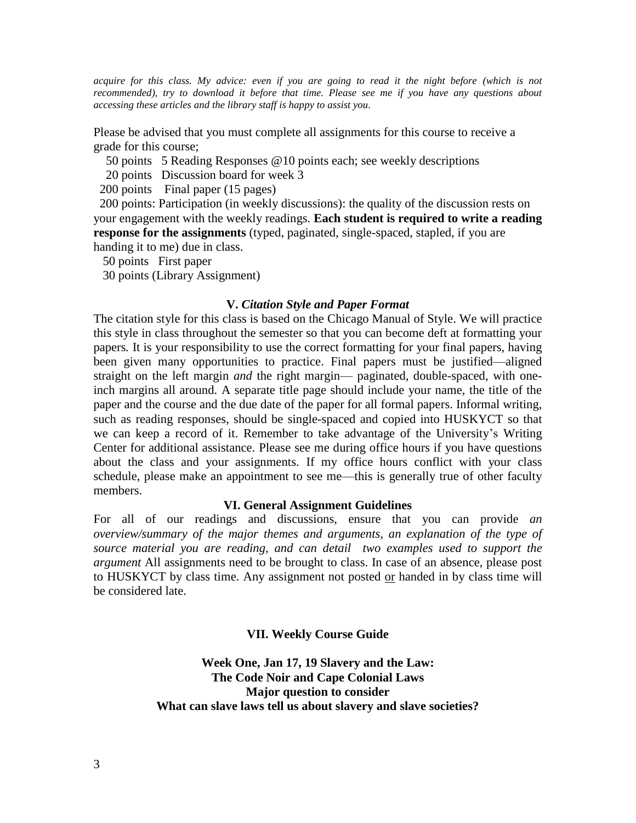*acquire for this class. My advice: even if you are going to read it the night before (which is not recommended), try to download it before that time. Please see me if you have any questions about accessing these articles and the library staff is happy to assist you.*

Please be advised that you must complete all assignments for this course to receive a grade for this course;

50 points 5 Reading Responses @10 points each; see weekly descriptions

20 points Discussion board for week 3

200 points Final paper (15 pages)

 200 points: Participation (in weekly discussions): the quality of the discussion rests on your engagement with the weekly readings. **Each student is required to write a reading response for the assignments** (typed, paginated, single-spaced, stapled, if you are handing it to me) due in class.

50 points First paper

30 points (Library Assignment)

#### **V.** *Citation Style and Paper Format*

The citation style for this class is based on the Chicago Manual of Style. We will practice this style in class throughout the semester so that you can become deft at formatting your papers*.* It is your responsibility to use the correct formatting for your final papers, having been given many opportunities to practice. Final papers must be justified—aligned straight on the left margin *and* the right margin— paginated, double-spaced, with oneinch margins all around. A separate title page should include your name, the title of the paper and the course and the due date of the paper for all formal papers. Informal writing, such as reading responses, should be single-spaced and copied into HUSKYCT so that we can keep a record of it. Remember to take advantage of the University's Writing Center for additional assistance. Please see me during office hours if you have questions about the class and your assignments. If my office hours conflict with your class schedule, please make an appointment to see me—this is generally true of other faculty members.

#### **VI. General Assignment Guidelines**

For all of our readings and discussions, ensure that you can provide *an overview/summary of the major themes and arguments*, *an explanation of the type of source material you are reading, and can detail two examples used to support the argument* All assignments need to be brought to class. In case of an absence, please post to HUSKYCT by class time. Any assignment not posted or handed in by class time will be considered late.

**VII. Weekly Course Guide**

**Week One, Jan 17, 19 Slavery and the Law: The Code Noir and Cape Colonial Laws Major question to consider What can slave laws tell us about slavery and slave societies?**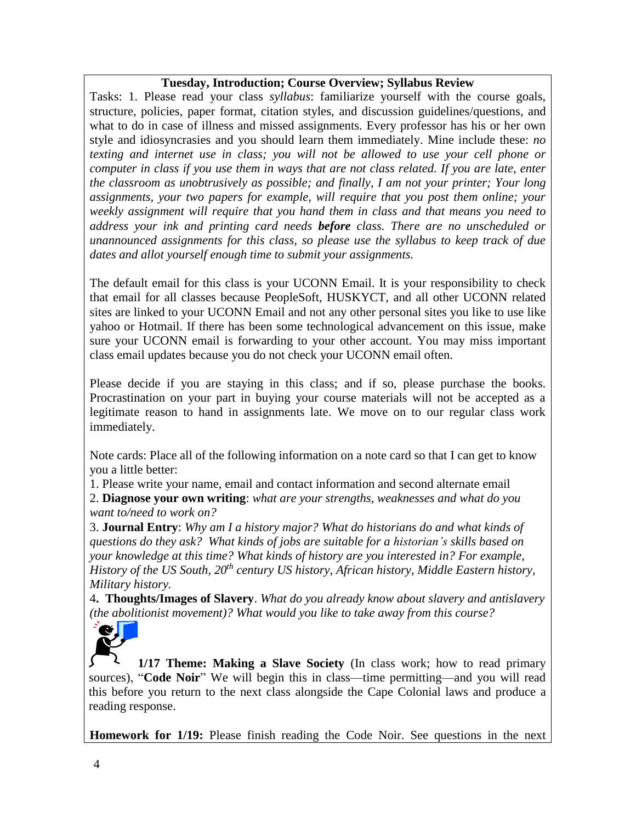## **Tuesday, Introduction; Course Overview; Syllabus Review**

Tasks: 1. Please read your class *syllabus*: familiarize yourself with the course goals, structure, policies, paper format, citation styles, and discussion guidelines/questions, and what to do in case of illness and missed assignments. Every professor has his or her own style and idiosyncrasies and you should learn them immediately. Mine include these: *no texting and internet use in class; you will not be allowed to use your cell phone or computer in class if you use them in ways that are not class related. If you are late, enter the classroom as unobtrusively as possible; and finally, I am not your printer; Your long assignments, your two papers for example, will require that you post them online; your weekly assignment will require that you hand them in class and that means you need to address your ink and printing card needs before class. There are no unscheduled or unannounced assignments for this class, so please use the syllabus to keep track of due dates and allot yourself enough time to submit your assignments.* 

The default email for this class is your UCONN Email. It is your responsibility to check that email for all classes because PeopleSoft, HUSKYCT, and all other UCONN related sites are linked to your UCONN Email and not any other personal sites you like to use like yahoo or Hotmail. If there has been some technological advancement on this issue, make sure your UCONN email is forwarding to your other account. You may miss important class email updates because you do not check your UCONN email often.

Please decide if you are staying in this class; and if so, please purchase the books. Procrastination on your part in buying your course materials will not be accepted as a legitimate reason to hand in assignments late. We move on to our regular class work immediately.

Note cards: Place all of the following information on a note card so that I can get to know you a little better:

1. Please write your name, email and contact information and second alternate email

2. **Diagnose your own writing**: *what are your strengths, weaknesses and what do you want to/need to work on?*

3. **Journal Entry**: *Why am I a history major? What do historians do and what kinds of questions do they ask? What kinds of jobs are suitable for a historian's skills based on your knowledge at this time? What kinds of history are you interested in? For example, History of the US South, 20th century US history, African history, Middle Eastern history, Military history.*

4**. Thoughts/Images of Slavery**. *What do you already know about slavery and antislavery (the abolitionist movement)? What would you like to take away from this course?*



**1/17 Theme: Making a Slave Society** (In class work; how to read primary sources), "**Code Noir**" We will begin this in class—time permitting—and you will read this before you return to the next class alongside the Cape Colonial laws and produce a reading response.

**Homework for 1/19:** Please finish reading the Code Noir. See questions in the next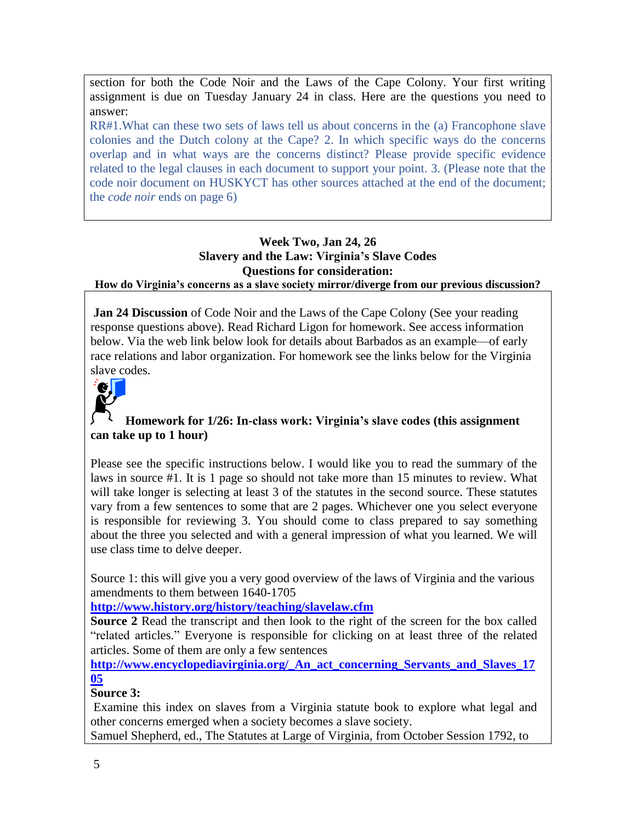section for both the Code Noir and the Laws of the Cape Colony. Your first writing assignment is due on Tuesday January 24 in class. Here are the questions you need to answer:

RR#1.What can these two sets of laws tell us about concerns in the (a) Francophone slave colonies and the Dutch colony at the Cape? 2. In which specific ways do the concerns overlap and in what ways are the concerns distinct? Please provide specific evidence related to the legal clauses in each document to support your point. 3. (Please note that the code noir document on HUSKYCT has other sources attached at the end of the document; the *code noir* ends on page 6)

# **Week Two, Jan 24, 26 Slavery and the Law: Virginia's Slave Codes Questions for consideration:**

## **How do Virginia's concerns as a slave society mirror/diverge from our previous discussion?**

**Jan 24 Discussion** of Code Noir and the Laws of the Cape Colony (See your reading response questions above). Read Richard Ligon for homework. See access information below. Via the web link below look for details about Barbados as an example—of early race relations and labor organization. For homework see the links below for the Virginia slave codes.



## **Homework for 1/26: In-class work: Virginia's slave codes (this assignment can take up to 1 hour)**

Please see the specific instructions below. I would like you to read the summary of the laws in source #1. It is 1 page so should not take more than 15 minutes to review. What will take longer is selecting at least 3 of the statutes in the second source. These statutes vary from a few sentences to some that are 2 pages. Whichever one you select everyone is responsible for reviewing 3. You should come to class prepared to say something about the three you selected and with a general impression of what you learned. We will use class time to delve deeper.

Source 1: this will give you a very good overview of the laws of Virginia and the various amendments to them between 1640-1705

**<http://www.history.org/history/teaching/slavelaw.cfm>**

**Source 2** Read the transcript and then look to the right of the screen for the box called "related articles." Everyone is responsible for clicking on at least three of the related articles. Some of them are only a few sentences

**[http://www.encyclopediavirginia.org/\\_An\\_act\\_concerning\\_Servants\\_and\\_Slaves\\_17](http://www.encyclopediavirginia.org/_An_act_concerning_Servants_and_Slaves_1705) [05](http://www.encyclopediavirginia.org/_An_act_concerning_Servants_and_Slaves_1705)**

# **Source 3:**

Examine this index on slaves from a Virginia statute book to explore what legal and other concerns emerged when a society becomes a slave society.

Samuel Shepherd, ed., The Statutes at Large of Virginia, from October Session 1792, to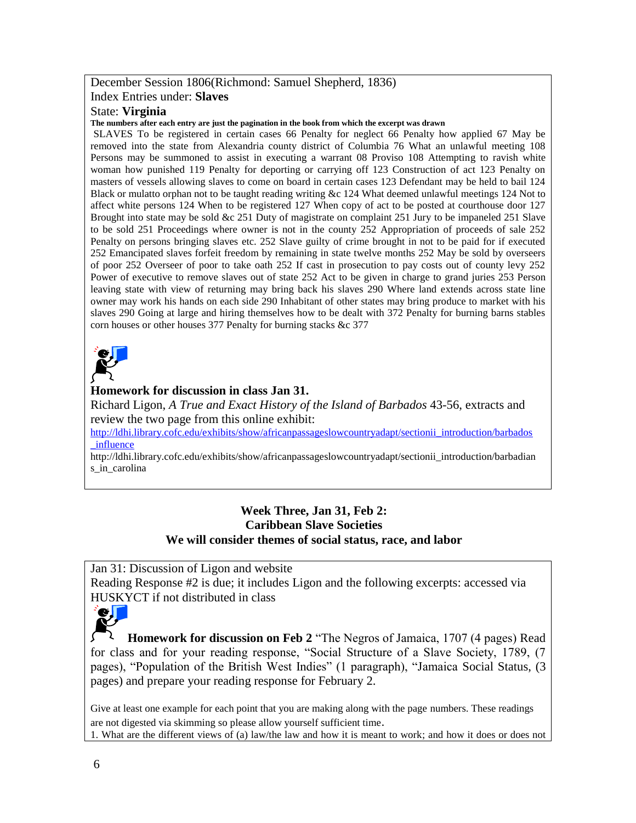# December Session 1806(Richmond: Samuel Shepherd, 1836)

Index Entries under: **Slaves**

#### State: **Virginia**

**The numbers after each entry are just the pagination in the book from which the excerpt was drawn**

SLAVES To be registered in certain cases 66 Penalty for neglect 66 Penalty how applied 67 May be removed into the state from Alexandria county district of Columbia 76 What an unlawful meeting 108 Persons may be summoned to assist in executing a warrant 08 Proviso 108 Attempting to ravish white woman how punished 119 Penalty for deporting or carrying off 123 Construction of act 123 Penalty on masters of vessels allowing slaves to come on board in certain cases 123 Defendant may be held to bail 124 Black or mulatto orphan not to be taught reading writing &c 124 What deemed unlawful meetings 124 Not to affect white persons 124 When to be registered 127 When copy of act to be posted at courthouse door 127 Brought into state may be sold &c 251 Duty of magistrate on complaint 251 Jury to be impaneled 251 Slave to be sold 251 Proceedings where owner is not in the county 252 Appropriation of proceeds of sale 252 Penalty on persons bringing slaves etc. 252 Slave guilty of crime brought in not to be paid for if executed 252 Emancipated slaves forfeit freedom by remaining in state twelve months 252 May be sold by overseers of poor 252 Overseer of poor to take oath 252 If cast in prosecution to pay costs out of county levy 252 Power of executive to remove slaves out of state 252 Act to be given in charge to grand juries 253 Person leaving state with view of returning may bring back his slaves 290 Where land extends across state line owner may work his hands on each side 290 Inhabitant of other states may bring produce to market with his slaves 290 Going at large and hiring themselves how to be dealt with 372 Penalty for burning barns stables corn houses or other houses 377 Penalty for burning stacks &c 377



# **Homework for discussion in class Jan 31.**

Richard Ligon, *A True and Exact History of the Island of Barbados* 43-56, extracts and review the two page from this online exhibit:

[http://ldhi.library.cofc.edu/exhibits/show/africanpassageslowcountryadapt/sectionii\\_introduction/barbados](http://ldhi.library.cofc.edu/exhibits/show/africanpassageslowcountryadapt/sectionii_introduction/barbados_influence) [\\_influence](http://ldhi.library.cofc.edu/exhibits/show/africanpassageslowcountryadapt/sectionii_introduction/barbados_influence)

http://ldhi.library.cofc.edu/exhibits/show/africanpassageslowcountryadapt/sectionii\_introduction/barbadian s in carolina

## **Week Three, Jan 31, Feb 2: Caribbean Slave Societies We will consider themes of social status, race, and labor**

Jan 31: Discussion of Ligon and website Reading Response #2 is due; it includes Ligon and the following excerpts: accessed via HUSKYCT if not distributed in class



**Homework for discussion on Feb 2** "The Negros of Jamaica, 1707 (4 pages) Read for class and for your reading response, "Social Structure of a Slave Society, 1789, (7 pages), "Population of the British West Indies" (1 paragraph), "Jamaica Social Status, (3 pages) and prepare your reading response for February 2.

Give at least one example for each point that you are making along with the page numbers. These readings are not digested via skimming so please allow yourself sufficient time. 1. What are the different views of (a) law/the law and how it is meant to work; and how it does or does not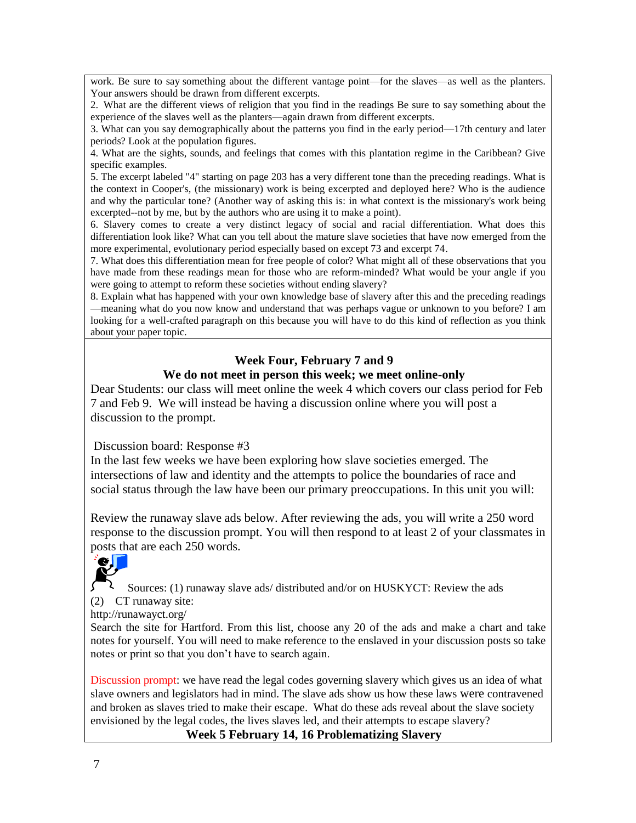work. Be sure to say something about the different vantage point—for the slaves—as well as the planters. Your answers should be drawn from different excerpts.

2. What are the different views of religion that you find in the readings Be sure to say something about the experience of the slaves well as the planters—again drawn from different excerpts.

3. What can you say demographically about the patterns you find in the early period—17th century and later periods? Look at the population figures.

4. What are the sights, sounds, and feelings that comes with this plantation regime in the Caribbean? Give specific examples.

5. The excerpt labeled "4" starting on page 203 has a very different tone than the preceding readings. What is the context in Cooper's, (the missionary) work is being excerpted and deployed here? Who is the audience and why the particular tone? (Another way of asking this is: in what context is the missionary's work being excerpted--not by me, but by the authors who are using it to make a point).

6. Slavery comes to create a very distinct legacy of social and racial differentiation. What does this differentiation look like? What can you tell about the mature slave societies that have now emerged from the more experimental, evolutionary period especially based on except 73 and excerpt 74.

7. What does this differentiation mean for free people of color? What might all of these observations that you have made from these readings mean for those who are reform-minded? What would be your angle if you were going to attempt to reform these societies without ending slavery?

8. Explain what has happened with your own knowledge base of slavery after this and the preceding readings —meaning what do you now know and understand that was perhaps vague or unknown to you before? I am looking for a well-crafted paragraph on this because you will have to do this kind of reflection as you think about your paper topic.

# **Week Four, February 7 and 9**

#### **We do not meet in person this week; we meet online-only**

Dear Students: our class will meet online the week 4 which covers our class period for Feb 7 and Feb 9. We will instead be having a discussion online where you will post a discussion to the prompt.

#### Discussion board: Response #3

In the last few weeks we have been exploring how slave societies emerged. The intersections of law and identity and the attempts to police the boundaries of race and social status through the law have been our primary preoccupations. In this unit you will:

Review the runaway slave ads below. After reviewing the ads, you will write a 250 word response to the discussion prompt. You will then respond to at least 2 of your classmates in posts that are each 250 words.



Sources: (1) runaway slave ads/ distributed and/or on HUSKYCT: Review the ads (2) CT runaway site:

http://runawayct.org/

Search the site for Hartford. From this list, choose any 20 of the ads and make a chart and take notes for yourself. You will need to make reference to the enslaved in your discussion posts so take notes or print so that you don't have to search again.

Discussion prompt: we have read the legal codes governing slavery which gives us an idea of what slave owners and legislators had in mind. The slave ads show us how these laws were contravened and broken as slaves tried to make their escape. What do these ads reveal about the slave society envisioned by the legal codes, the lives slaves led, and their attempts to escape slavery?

**Week 5 February 14, 16 Problematizing Slavery**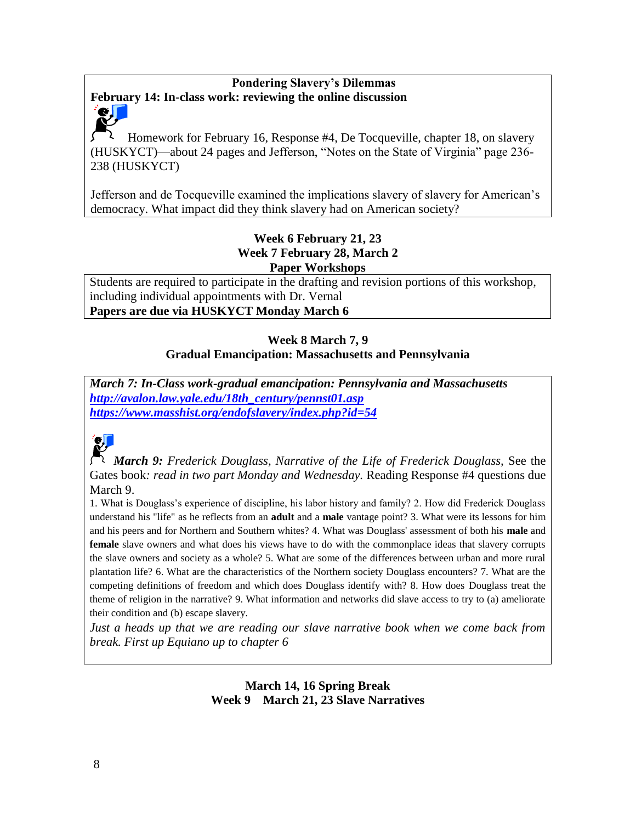### **Pondering Slavery's Dilemmas February 14: In-class work: reviewing the online discussion** C I

Homework for February 16, Response #4, De Tocqueville, chapter 18, on slavery (HUSKYCT)—about 24 pages and Jefferson, "Notes on the State of Virginia" page 236- 238 (HUSKYCT)

Jefferson and de Tocqueville examined the implications slavery of slavery for American's democracy. What impact did they think slavery had on American society?

#### **Week 6 February 21, 23 Week 7 February 28, March 2 Paper Workshops**

Students are required to participate in the drafting and revision portions of this workshop, including individual appointments with Dr. Vernal **Papers are due via HUSKYCT Monday March 6**

## **Week 8 March 7, 9 Gradual Emancipation: Massachusetts and Pennsylvania**

*March 7: In-Class work-gradual emancipation: Pennsylvania and Massachusetts [http://avalon.law.yale.edu/18th\\_century/pennst01.asp](http://avalon.law.yale.edu/18th_century/pennst01.asp) <https://www.masshist.org/endofslavery/index.php?id=54>*

*March 9: Frederick Douglass, Narrative of the Life of Frederick Douglass,* See the Gates book*: read in two part Monday and Wednesday.* Reading Response #4 questions due March 9.

1. What is Douglass's experience of discipline, his labor history and family? 2. How did Frederick Douglass understand his "life" as he reflects from an **adult** and a **male** vantage point? 3. What were its lessons for him and his peers and for Northern and Southern whites? 4. What was Douglass' assessment of both his **male** and **female** slave owners and what does his views have to do with the commonplace ideas that slavery corrupts the slave owners and society as a whole? 5. What are some of the differences between urban and more rural plantation life? 6. What are the characteristics of the Northern society Douglass encounters? 7. What are the competing definitions of freedom and which does Douglass identify with? 8. How does Douglass treat the theme of religion in the narrative? 9. What information and networks did slave access to try to (a) ameliorate their condition and (b) escape slavery.

*Just a heads up that we are reading our slave narrative book when we come back from break. First up Equiano up to chapter 6*

> **March 14, 16 Spring Break Week 9 March 21, 23 Slave Narratives**